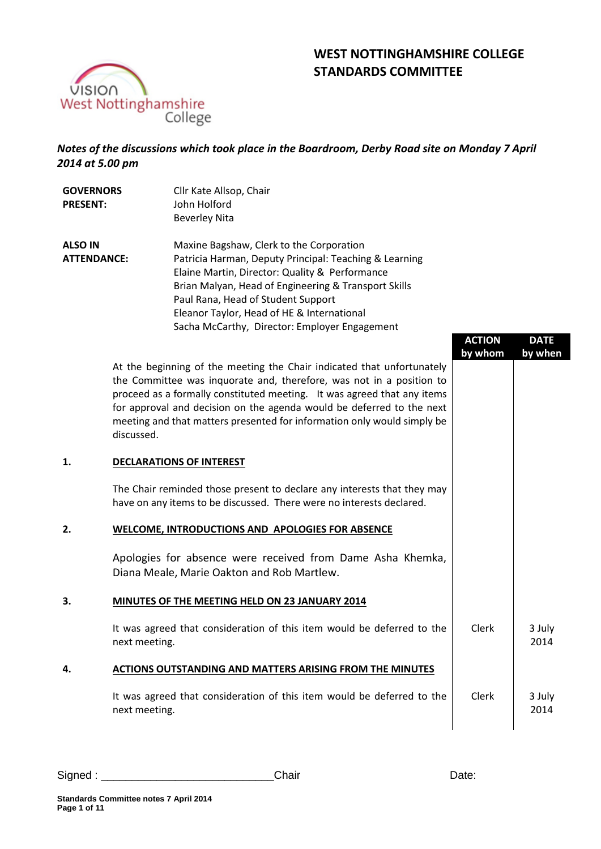

# **WEST NOTTINGHAMSHIRE COLLEGE STANDARDS COMMITTEE**

# *Notes of the discussions which took place in the Boardroom, Derby Road site on Monday 7 April 2014 at 5.00 pm*

| <b>GOVERNORS</b><br><b>PRESENT:</b>  | Cllr Kate Allsop, Chair<br>John Holford<br><b>Beverley Nita</b>                                                                                                                                                                                                                                                                                                                             |                          |                       |
|--------------------------------------|---------------------------------------------------------------------------------------------------------------------------------------------------------------------------------------------------------------------------------------------------------------------------------------------------------------------------------------------------------------------------------------------|--------------------------|-----------------------|
|                                      |                                                                                                                                                                                                                                                                                                                                                                                             |                          |                       |
| <b>ALSO IN</b><br><b>ATTENDANCE:</b> | Maxine Bagshaw, Clerk to the Corporation<br>Patricia Harman, Deputy Principal: Teaching & Learning<br>Elaine Martin, Director: Quality & Performance<br>Brian Malyan, Head of Engineering & Transport Skills<br>Paul Rana, Head of Student Support<br>Eleanor Taylor, Head of HE & International<br>Sacha McCarthy, Director: Employer Engagement                                           | <b>ACTION</b><br>by whom | <b>DATE</b><br>by whe |
|                                      | At the beginning of the meeting the Chair indicated that unfortunately<br>the Committee was inquorate and, therefore, was not in a position to<br>proceed as a formally constituted meeting. It was agreed that any items<br>for approval and decision on the agenda would be deferred to the next<br>meeting and that matters presented for information only would simply be<br>discussed. |                          |                       |
| 1.                                   | <b>DECLARATIONS OF INTEREST</b>                                                                                                                                                                                                                                                                                                                                                             |                          |                       |
|                                      | The Chair reminded those present to declare any interests that they may<br>have on any items to be discussed. There were no interests declared.                                                                                                                                                                                                                                             |                          |                       |
| 2.                                   | WELCOME, INTRODUCTIONS AND APOLOGIES FOR ABSENCE                                                                                                                                                                                                                                                                                                                                            |                          |                       |
|                                      | Apologies for absence were received from Dame Asha Khemka,<br>Diana Meale, Marie Oakton and Rob Martlew.                                                                                                                                                                                                                                                                                    |                          |                       |
| 3.                                   | MINUTES OF THE MEETING HELD ON 23 JANUARY 2014                                                                                                                                                                                                                                                                                                                                              |                          |                       |
|                                      | It was agreed that consideration of this item would be deferred to the                                                                                                                                                                                                                                                                                                                      | Clerk                    | 3 July                |

next meeting.

# **4. ACTIONS OUTSTANDING AND MATTERS ARISING FROM THE MINUTES**

It was agreed that consideration of this item would be deferred to the next meeting. Clerk 3 July 2014

Signed : \_\_\_\_\_\_\_\_\_\_\_\_\_\_\_\_\_\_\_\_\_\_\_\_\_\_\_\_Chair Date:

**DATE by when**

2014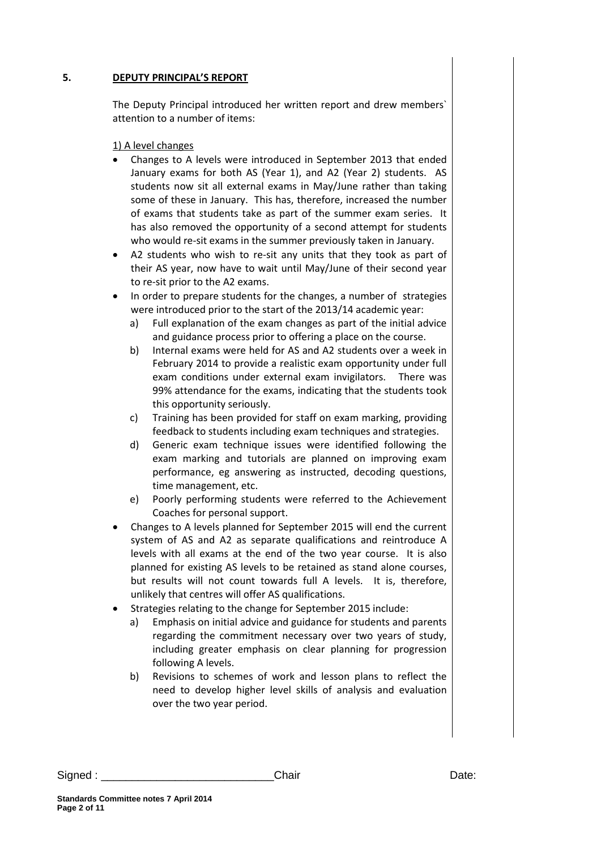#### **5. DEPUTY PRINCIPAL'S REPORT**

The Deputy Principal introduced her written report and drew members` attention to a number of items:

1) A level changes

- Changes to A levels were introduced in September 2013 that ended January exams for both AS (Year 1), and A2 (Year 2) students. AS students now sit all external exams in May/June rather than taking some of these in January. This has, therefore, increased the number of exams that students take as part of the summer exam series. It has also removed the opportunity of a second attempt for students who would re-sit exams in the summer previously taken in January.
- A2 students who wish to re-sit any units that they took as part of their AS year, now have to wait until May/June of their second year to re-sit prior to the A2 exams.
- In order to prepare students for the changes, a number of strategies were introduced prior to the start of the 2013/14 academic year:
	- a) Full explanation of the exam changes as part of the initial advice and guidance process prior to offering a place on the course.
	- b) Internal exams were held for AS and A2 students over a week in February 2014 to provide a realistic exam opportunity under full exam conditions under external exam invigilators. There was 99% attendance for the exams, indicating that the students took this opportunity seriously.
	- c) Training has been provided for staff on exam marking, providing feedback to students including exam techniques and strategies.
	- d) Generic exam technique issues were identified following the exam marking and tutorials are planned on improving exam performance, eg answering as instructed, decoding questions, time management, etc.
	- e) Poorly performing students were referred to the Achievement Coaches for personal support.
- Changes to A levels planned for September 2015 will end the current system of AS and A2 as separate qualifications and reintroduce A levels with all exams at the end of the two year course. It is also planned for existing AS levels to be retained as stand alone courses, but results will not count towards full A levels. It is, therefore, unlikely that centres will offer AS qualifications.
- Strategies relating to the change for September 2015 include:
	- a) Emphasis on initial advice and guidance for students and parents regarding the commitment necessary over two years of study, including greater emphasis on clear planning for progression following A levels.
	- b) Revisions to schemes of work and lesson plans to reflect the need to develop higher level skills of analysis and evaluation over the two year period.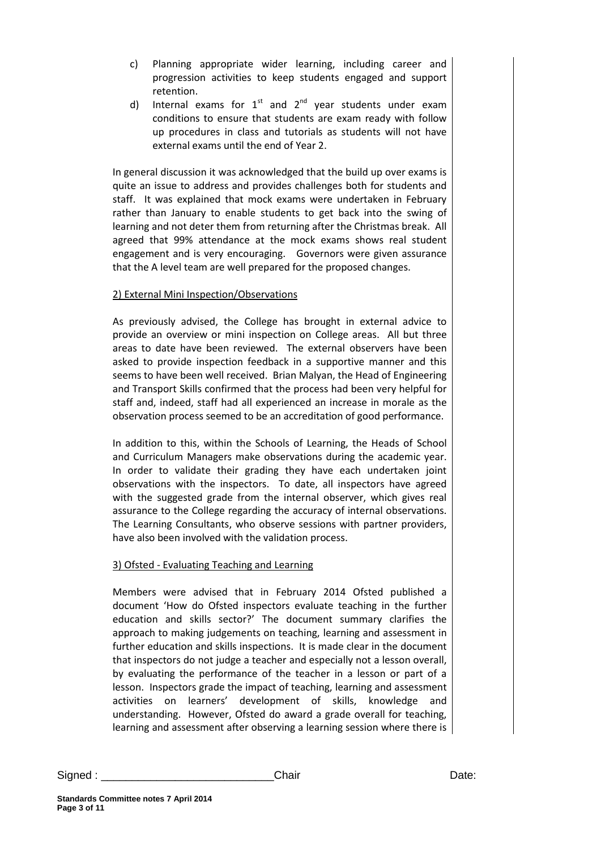- c) Planning appropriate wider learning, including career and progression activities to keep students engaged and support retention.
- d) Internal exams for  $1^{st}$  and  $2^{nd}$  year students under exam conditions to ensure that students are exam ready with follow up procedures in class and tutorials as students will not have external exams until the end of Year 2.

In general discussion it was acknowledged that the build up over exams is quite an issue to address and provides challenges both for students and staff. It was explained that mock exams were undertaken in February rather than January to enable students to get back into the swing of learning and not deter them from returning after the Christmas break. All agreed that 99% attendance at the mock exams shows real student engagement and is very encouraging. Governors were given assurance that the A level team are well prepared for the proposed changes.

## 2) External Mini Inspection/Observations

As previously advised, the College has brought in external advice to provide an overview or mini inspection on College areas. All but three areas to date have been reviewed. The external observers have been asked to provide inspection feedback in a supportive manner and this seems to have been well received. Brian Malyan, the Head of Engineering and Transport Skills confirmed that the process had been very helpful for staff and, indeed, staff had all experienced an increase in morale as the observation process seemed to be an accreditation of good performance.

In addition to this, within the Schools of Learning, the Heads of School and Curriculum Managers make observations during the academic year. In order to validate their grading they have each undertaken joint observations with the inspectors. To date, all inspectors have agreed with the suggested grade from the internal observer, which gives real assurance to the College regarding the accuracy of internal observations. The Learning Consultants, who observe sessions with partner providers, have also been involved with the validation process.

## 3) Ofsted - Evaluating Teaching and Learning

Members were advised that in February 2014 Ofsted published a document 'How do Ofsted inspectors evaluate teaching in the further education and skills sector?' The document summary clarifies the approach to making judgements on teaching, learning and assessment in further education and skills inspections. It is made clear in the document that inspectors do not judge a teacher and especially not a lesson overall, by evaluating the performance of the teacher in a lesson or part of a lesson. Inspectors grade the impact of teaching, learning and assessment activities on learners' development of skills, knowledge and understanding. However, Ofsted do award a grade overall for teaching, learning and assessment after observing a learning session where there is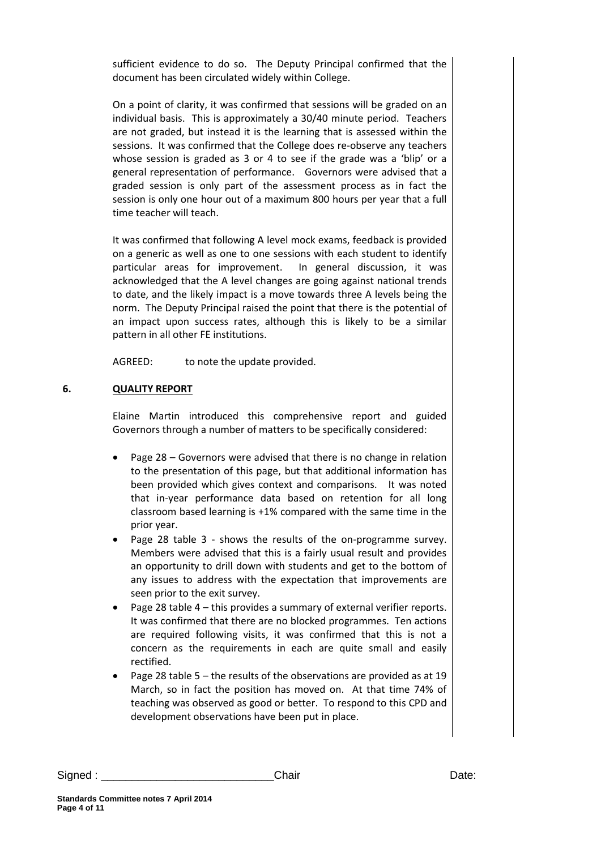sufficient evidence to do so. The Deputy Principal confirmed that the document has been circulated widely within College.

On a point of clarity, it was confirmed that sessions will be graded on an individual basis. This is approximately a 30/40 minute period. Teachers are not graded, but instead it is the learning that is assessed within the sessions. It was confirmed that the College does re-observe any teachers whose session is graded as 3 or 4 to see if the grade was a 'blip' or a general representation of performance. Governors were advised that a graded session is only part of the assessment process as in fact the session is only one hour out of a maximum 800 hours per year that a full time teacher will teach.

It was confirmed that following A level mock exams, feedback is provided on a generic as well as one to one sessions with each student to identify particular areas for improvement. In general discussion, it was acknowledged that the A level changes are going against national trends to date, and the likely impact is a move towards three A levels being the norm. The Deputy Principal raised the point that there is the potential of an impact upon success rates, although this is likely to be a similar pattern in all other FE institutions.

AGREED: to note the update provided.

## **6. QUALITY REPORT**

Elaine Martin introduced this comprehensive report and guided Governors through a number of matters to be specifically considered:

- Page 28 Governors were advised that there is no change in relation to the presentation of this page, but that additional information has been provided which gives context and comparisons. It was noted that in-year performance data based on retention for all long classroom based learning is +1% compared with the same time in the prior year.
- Page 28 table 3 shows the results of the on-programme survey. Members were advised that this is a fairly usual result and provides an opportunity to drill down with students and get to the bottom of any issues to address with the expectation that improvements are seen prior to the exit survey.
- Page 28 table 4 this provides a summary of external verifier reports. It was confirmed that there are no blocked programmes. Ten actions are required following visits, it was confirmed that this is not a concern as the requirements in each are quite small and easily rectified.
- Page 28 table 5 the results of the observations are provided as at 19 March, so in fact the position has moved on. At that time 74% of teaching was observed as good or better. To respond to this CPD and development observations have been put in place.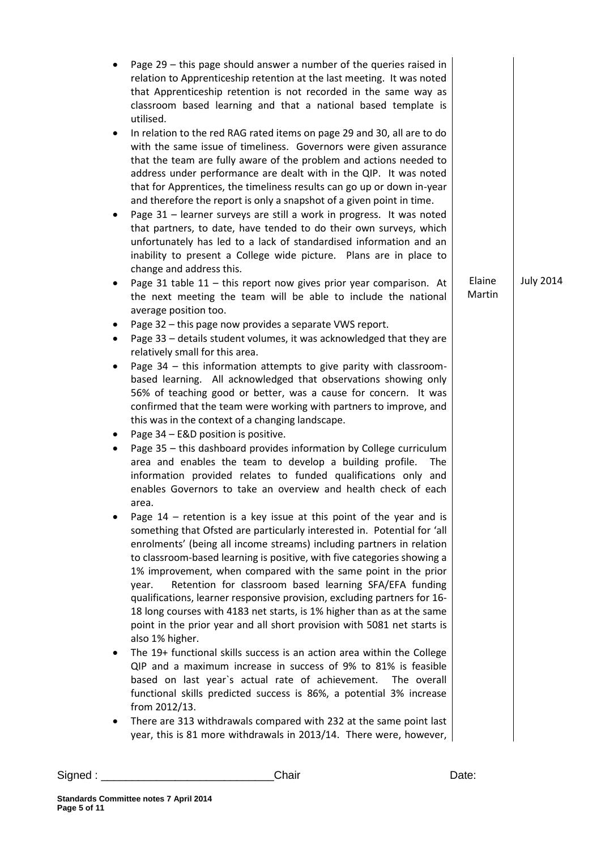|                  |                  | Page $29$ – this page should answer a number of the queries raised in<br>relation to Apprenticeship retention at the last meeting. It was noted<br>that Apprenticeship retention is not recorded in the same way as<br>classroom based learning and that a national based template is<br>utilised.                                                                                                                                                                                                                                                                                                                                                                                             |   |
|------------------|------------------|------------------------------------------------------------------------------------------------------------------------------------------------------------------------------------------------------------------------------------------------------------------------------------------------------------------------------------------------------------------------------------------------------------------------------------------------------------------------------------------------------------------------------------------------------------------------------------------------------------------------------------------------------------------------------------------------|---|
|                  |                  | In relation to the red RAG rated items on page 29 and 30, all are to do<br>with the same issue of timeliness. Governors were given assurance<br>that the team are fully aware of the problem and actions needed to<br>address under performance are dealt with in the QIP. It was noted<br>that for Apprentices, the timeliness results can go up or down in-year<br>and therefore the report is only a snapshot of a given point in time.                                                                                                                                                                                                                                                     | ٠ |
|                  |                  | Page 31 - learner surveys are still a work in progress. It was noted<br>that partners, to date, have tended to do their own surveys, which<br>unfortunately has led to a lack of standardised information and an<br>inability to present a College wide picture. Plans are in place to<br>change and address this.                                                                                                                                                                                                                                                                                                                                                                             |   |
| <b>July 2014</b> | Elaine<br>Martin | Page 31 table $11$ - this report now gives prior year comparison. At<br>the next meeting the team will be able to include the national<br>average position too.                                                                                                                                                                                                                                                                                                                                                                                                                                                                                                                                |   |
|                  |                  | Page 32 - this page now provides a separate VWS report.<br>Page 33 - details student volumes, it was acknowledged that they are<br>relatively small for this area.                                                                                                                                                                                                                                                                                                                                                                                                                                                                                                                             | ٠ |
|                  |                  | Page 34 - this information attempts to give parity with classroom-<br>based learning. All acknowledged that observations showing only<br>56% of teaching good or better, was a cause for concern. It was<br>confirmed that the team were working with partners to improve, and<br>this was in the context of a changing landscape.                                                                                                                                                                                                                                                                                                                                                             | ٠ |
|                  |                  | Page 34 - E&D position is positive.<br>Page 35 - this dashboard provides information by College curriculum<br>area and enables the team to develop a building profile.<br>The<br>information provided relates to funded qualifications only and<br>enables Governors to take an overview and health check of each<br>area.                                                                                                                                                                                                                                                                                                                                                                     |   |
|                  |                  | Page $14$ - retention is a key issue at this point of the year and is<br>something that Ofsted are particularly interested in. Potential for 'all<br>enrolments' (being all income streams) including partners in relation<br>to classroom-based learning is positive, with five categories showing a<br>1% improvement, when compared with the same point in the prior<br>Retention for classroom based learning SFA/EFA funding<br>year.<br>qualifications, learner responsive provision, excluding partners for 16-<br>18 long courses with 4183 net starts, is 1% higher than as at the same<br>point in the prior year and all short provision with 5081 net starts is<br>also 1% higher. |   |
|                  |                  | The 19+ functional skills success is an action area within the College<br>QIP and a maximum increase in success of 9% to 81% is feasible<br>based on last year's actual rate of achievement. The overall<br>functional skills predicted success is 86%, a potential 3% increase<br>from 2012/13.                                                                                                                                                                                                                                                                                                                                                                                               |   |
|                  |                  | There are 313 withdrawals compared with 232 at the same point last<br>year, this is 81 more withdrawals in 2013/14. There were, however,                                                                                                                                                                                                                                                                                                                                                                                                                                                                                                                                                       | ٠ |
|                  |                  |                                                                                                                                                                                                                                                                                                                                                                                                                                                                                                                                                                                                                                                                                                |   |

Signed : \_\_\_\_\_\_\_\_\_\_\_\_\_\_\_\_\_\_\_\_\_\_\_\_\_\_\_\_Chair Date: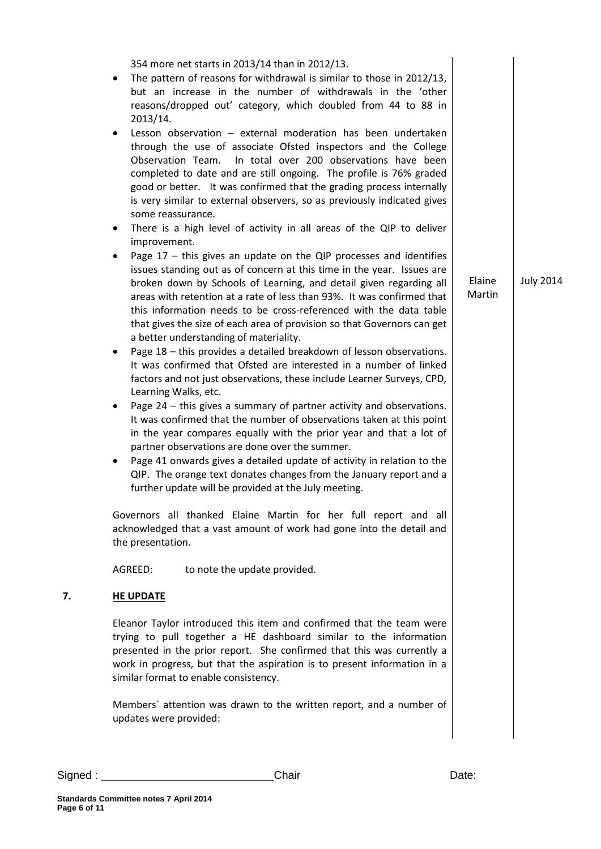| 354 more net starts in 2013/14 than in 2012/13.<br>The pattern of reasons for withdrawal is similar to those in 2012/13,<br>but an increase in the number of withdrawals in the 'other<br>reasons/dropped out' category, which doubled from 44 to 88 in<br>2013/14.<br>Lesson observation - external moderation has been undertaken<br>$\bullet$<br>through the use of associate Ofsted inspectors and the College<br>In total over 200 observations have been<br>Observation Team.<br>completed to date and are still ongoing. The profile is 76% graded<br>good or better. It was confirmed that the grading process internally<br>is very similar to external observers, so as previously indicated gives<br>some reassurance.                                                                                                                                                                                                                                                                                                                                                                                                                                                                                                                                                                                                 |                                      |
|-----------------------------------------------------------------------------------------------------------------------------------------------------------------------------------------------------------------------------------------------------------------------------------------------------------------------------------------------------------------------------------------------------------------------------------------------------------------------------------------------------------------------------------------------------------------------------------------------------------------------------------------------------------------------------------------------------------------------------------------------------------------------------------------------------------------------------------------------------------------------------------------------------------------------------------------------------------------------------------------------------------------------------------------------------------------------------------------------------------------------------------------------------------------------------------------------------------------------------------------------------------------------------------------------------------------------------------|--------------------------------------|
| There is a high level of activity in all areas of the QIP to deliver<br>improvement.<br>Page $17$ – this gives an update on the QIP processes and identifies<br>$\bullet$<br>issues standing out as of concern at this time in the year. Issues are<br>broken down by Schools of Learning, and detail given regarding all<br>areas with retention at a rate of less than 93%. It was confirmed that<br>this information needs to be cross-referenced with the data table<br>that gives the size of each area of provision so that Governors can get<br>a better understanding of materiality.<br>Page 18 - this provides a detailed breakdown of lesson observations.<br>٠<br>It was confirmed that Ofsted are interested in a number of linked<br>factors and not just observations, these include Learner Surveys, CPD,<br>Learning Walks, etc.<br>Page 24 - this gives a summary of partner activity and observations.<br>It was confirmed that the number of observations taken at this point<br>in the year compares equally with the prior year and that a lot of<br>partner observations are done over the summer.<br>Page 41 onwards gives a detailed update of activity in relation to the<br>QIP. The orange text donates changes from the January report and a<br>further update will be provided at the July meeting. | Elaine<br><b>July 2014</b><br>Martin |
| Governors all thanked Elaine Martin for her full report and all<br>acknowledged that a vast amount of work had gone into the detail and<br>the presentation.<br>AGREED:<br>to note the update provided.                                                                                                                                                                                                                                                                                                                                                                                                                                                                                                                                                                                                                                                                                                                                                                                                                                                                                                                                                                                                                                                                                                                           |                                      |
| 7.<br><b>HE UPDATE</b>                                                                                                                                                                                                                                                                                                                                                                                                                                                                                                                                                                                                                                                                                                                                                                                                                                                                                                                                                                                                                                                                                                                                                                                                                                                                                                            |                                      |
| Eleanor Taylor introduced this item and confirmed that the team were<br>trying to pull together a HE dashboard similar to the information<br>presented in the prior report. She confirmed that this was currently a<br>work in progress, but that the aspiration is to present information in a<br>similar format to enable consistency.                                                                                                                                                                                                                                                                                                                                                                                                                                                                                                                                                                                                                                                                                                                                                                                                                                                                                                                                                                                          |                                      |
| Members' attention was drawn to the written report, and a number of<br>updates were provided:                                                                                                                                                                                                                                                                                                                                                                                                                                                                                                                                                                                                                                                                                                                                                                                                                                                                                                                                                                                                                                                                                                                                                                                                                                     |                                      |

Signed : \_\_\_\_\_\_\_\_\_\_\_\_\_\_\_\_\_\_\_\_\_\_\_\_\_\_\_\_Chair Date: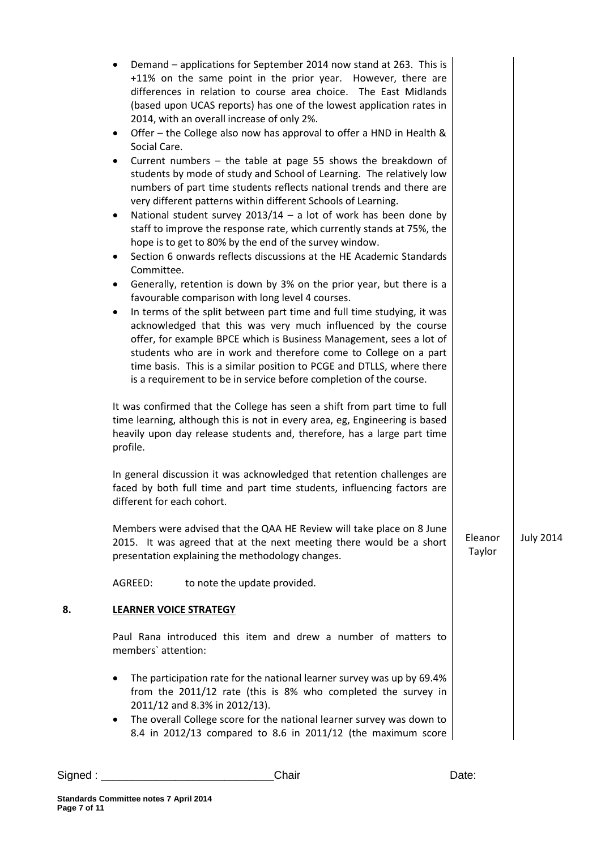|    | Demand – applications for September 2014 now stand at 263. This is<br>+11% on the same point in the prior year. However, there are<br>differences in relation to course area choice. The East Midlands<br>(based upon UCAS reports) has one of the lowest application rates in<br>2014, with an overall increase of only 2%.<br>Offer – the College also now has approval to offer a HND in Health &<br>٠<br>Social Care.<br>Current numbers $-$ the table at page 55 shows the breakdown of<br>$\bullet$<br>students by mode of study and School of Learning. The relatively low<br>numbers of part time students reflects national trends and there are<br>very different patterns within different Schools of Learning.<br>National student survey $2013/14 - a$ lot of work has been done by<br>٠<br>staff to improve the response rate, which currently stands at 75%, the<br>hope is to get to 80% by the end of the survey window.<br>Section 6 onwards reflects discussions at the HE Academic Standards<br>$\bullet$<br>Committee.<br>Generally, retention is down by 3% on the prior year, but there is a<br>$\bullet$<br>favourable comparison with long level 4 courses.<br>In terms of the split between part time and full time studying, it was<br>$\bullet$<br>acknowledged that this was very much influenced by the course<br>offer, for example BPCE which is Business Management, sees a lot of<br>students who are in work and therefore come to College on a part<br>time basis. This is a similar position to PCGE and DTLLS, where there<br>is a requirement to be in service before completion of the course.<br>It was confirmed that the College has seen a shift from part time to full<br>time learning, although this is not in every area, eg, Engineering is based<br>heavily upon day release students and, therefore, has a large part time<br>profile.<br>In general discussion it was acknowledged that retention challenges are<br>faced by both full time and part time students, influencing factors are<br>different for each cohort. |                   |                  |
|----|-------------------------------------------------------------------------------------------------------------------------------------------------------------------------------------------------------------------------------------------------------------------------------------------------------------------------------------------------------------------------------------------------------------------------------------------------------------------------------------------------------------------------------------------------------------------------------------------------------------------------------------------------------------------------------------------------------------------------------------------------------------------------------------------------------------------------------------------------------------------------------------------------------------------------------------------------------------------------------------------------------------------------------------------------------------------------------------------------------------------------------------------------------------------------------------------------------------------------------------------------------------------------------------------------------------------------------------------------------------------------------------------------------------------------------------------------------------------------------------------------------------------------------------------------------------------------------------------------------------------------------------------------------------------------------------------------------------------------------------------------------------------------------------------------------------------------------------------------------------------------------------------------------------------------------------------------------------------------------------------------------------------------------------------------------------------------------|-------------------|------------------|
|    | Members were advised that the QAA HE Review will take place on 8 June<br>2015. It was agreed that at the next meeting there would be a short<br>presentation explaining the methodology changes.                                                                                                                                                                                                                                                                                                                                                                                                                                                                                                                                                                                                                                                                                                                                                                                                                                                                                                                                                                                                                                                                                                                                                                                                                                                                                                                                                                                                                                                                                                                                                                                                                                                                                                                                                                                                                                                                              | Eleanor<br>Taylor | <b>July 2014</b> |
|    | AGREED:<br>to note the update provided.                                                                                                                                                                                                                                                                                                                                                                                                                                                                                                                                                                                                                                                                                                                                                                                                                                                                                                                                                                                                                                                                                                                                                                                                                                                                                                                                                                                                                                                                                                                                                                                                                                                                                                                                                                                                                                                                                                                                                                                                                                       |                   |                  |
| 8. | <b>LEARNER VOICE STRATEGY</b>                                                                                                                                                                                                                                                                                                                                                                                                                                                                                                                                                                                                                                                                                                                                                                                                                                                                                                                                                                                                                                                                                                                                                                                                                                                                                                                                                                                                                                                                                                                                                                                                                                                                                                                                                                                                                                                                                                                                                                                                                                                 |                   |                  |
|    | Paul Rana introduced this item and drew a number of matters to<br>members' attention:                                                                                                                                                                                                                                                                                                                                                                                                                                                                                                                                                                                                                                                                                                                                                                                                                                                                                                                                                                                                                                                                                                                                                                                                                                                                                                                                                                                                                                                                                                                                                                                                                                                                                                                                                                                                                                                                                                                                                                                         |                   |                  |
|    | The participation rate for the national learner survey was up by 69.4%<br>from the 2011/12 rate (this is 8% who completed the survey in<br>2011/12 and 8.3% in 2012/13).<br>The overall College score for the national learner survey was down to<br>٠<br>8.4 in 2012/13 compared to 8.6 in 2011/12 (the maximum score                                                                                                                                                                                                                                                                                                                                                                                                                                                                                                                                                                                                                                                                                                                                                                                                                                                                                                                                                                                                                                                                                                                                                                                                                                                                                                                                                                                                                                                                                                                                                                                                                                                                                                                                                        |                   |                  |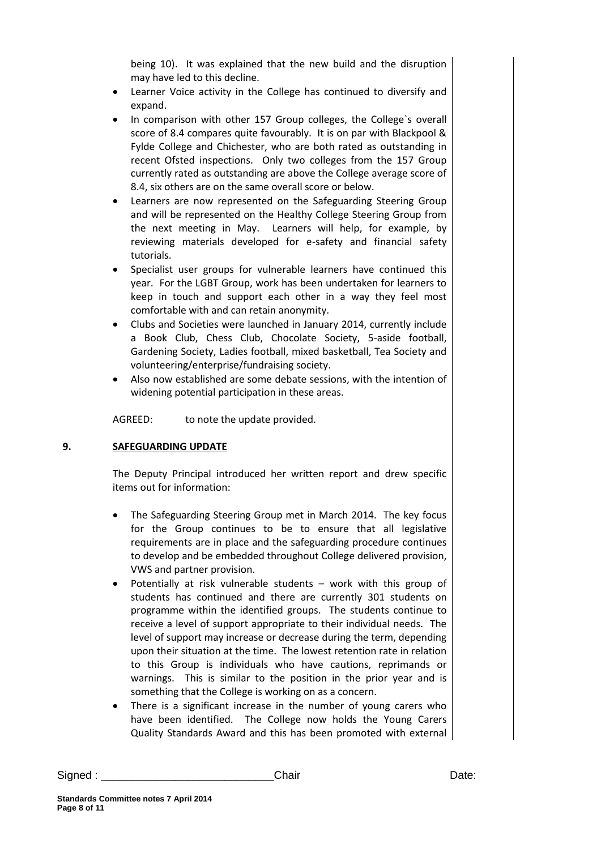being 10). It was explained that the new build and the disruption may have led to this decline.

- Learner Voice activity in the College has continued to diversify and expand.
- In comparison with other 157 Group colleges, the College`s overall score of 8.4 compares quite favourably. It is on par with Blackpool & Fylde College and Chichester, who are both rated as outstanding in recent Ofsted inspections. Only two colleges from the 157 Group currently rated as outstanding are above the College average score of 8.4, six others are on the same overall score or below.
- Learners are now represented on the Safeguarding Steering Group and will be represented on the Healthy College Steering Group from the next meeting in May. Learners will help, for example, by reviewing materials developed for e-safety and financial safety tutorials.
- Specialist user groups for vulnerable learners have continued this year. For the LGBT Group, work has been undertaken for learners to keep in touch and support each other in a way they feel most comfortable with and can retain anonymity.
- Clubs and Societies were launched in January 2014, currently include a Book Club, Chess Club, Chocolate Society, 5-aside football, Gardening Society, Ladies football, mixed basketball, Tea Society and volunteering/enterprise/fundraising society.
- Also now established are some debate sessions, with the intention of widening potential participation in these areas.

AGREED: to note the update provided.

## **9. SAFEGUARDING UPDATE**

The Deputy Principal introduced her written report and drew specific items out for information:

- The Safeguarding Steering Group met in March 2014. The key focus for the Group continues to be to ensure that all legislative requirements are in place and the safeguarding procedure continues to develop and be embedded throughout College delivered provision, VWS and partner provision.
- Potentially at risk vulnerable students work with this group of students has continued and there are currently 301 students on programme within the identified groups. The students continue to receive a level of support appropriate to their individual needs. The level of support may increase or decrease during the term, depending upon their situation at the time. The lowest retention rate in relation to this Group is individuals who have cautions, reprimands or warnings. This is similar to the position in the prior year and is something that the College is working on as a concern.
- There is a significant increase in the number of young carers who have been identified. The College now holds the Young Carers Quality Standards Award and this has been promoted with external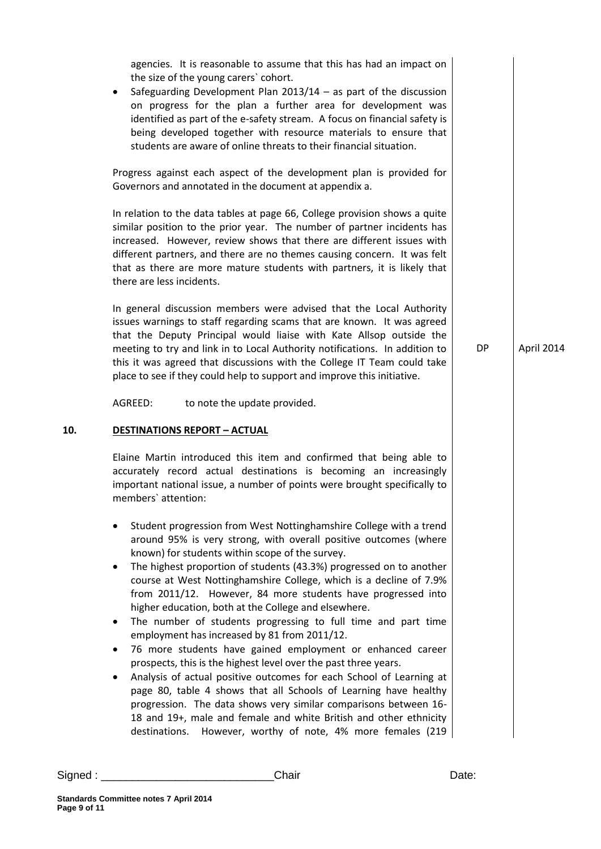agencies. It is reasonable to assume that this has had an impact on the size of the young carers` cohort.

 Safeguarding Development Plan 2013/14 – as part of the discussion on progress for the plan a further area for development was identified as part of the e-safety stream. A focus on financial safety is being developed together with resource materials to ensure that students are aware of online threats to their financial situation.

Progress against each aspect of the development plan is provided for Governors and annotated in the document at appendix a.

In relation to the data tables at page 66, College provision shows a quite similar position to the prior year. The number of partner incidents has increased. However, review shows that there are different issues with different partners, and there are no themes causing concern. It was felt that as there are more mature students with partners, it is likely that there are less incidents.

In general discussion members were advised that the Local Authority issues warnings to staff regarding scams that are known. It was agreed that the Deputy Principal would liaise with Kate Allsop outside the meeting to try and link in to Local Authority notifications. In addition to this it was agreed that discussions with the College IT Team could take place to see if they could help to support and improve this initiative.

AGREED: to note the update provided.

#### **10. DESTINATIONS REPORT – ACTUAL**

Elaine Martin introduced this item and confirmed that being able to accurately record actual destinations is becoming an increasingly important national issue, a number of points were brought specifically to members` attention:

- Student progression from West Nottinghamshire College with a trend around 95% is very strong, with overall positive outcomes (where known) for students within scope of the survey.
- The highest proportion of students (43.3%) progressed on to another course at West Nottinghamshire College, which is a decline of 7.9% from 2011/12. However, 84 more students have progressed into higher education, both at the College and elsewhere.
- The number of students progressing to full time and part time employment has increased by 81 from 2011/12.
- 76 more students have gained employment or enhanced career prospects, this is the highest level over the past three years.
- Analysis of actual positive outcomes for each School of Learning at page 80, table 4 shows that all Schools of Learning have healthy progression. The data shows very similar comparisons between 16- 18 and 19+, male and female and white British and other ethnicity destinations. However, worthy of note, 4% more females (219

DP April 2014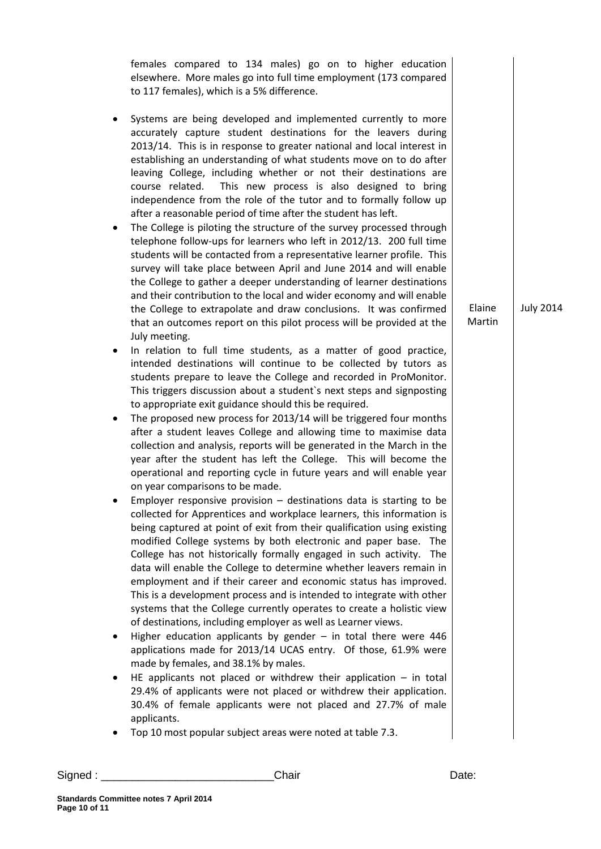females compared to 134 males) go on to higher education elsewhere. More males go into full time employment (173 compared to 117 females), which is a 5% difference. Systems are being developed and implemented currently to more accurately capture student destinations for the leavers during 2013/14. This is in response to greater national and local interest in establishing an understanding of what students move on to do after leaving College, including whether or not their destinations are course related. This new process is also designed to bring independence from the role of the tutor and to formally follow up after a reasonable period of time after the student has left. The College is piloting the structure of the survey processed through telephone follow-ups for learners who left in 2012/13. 200 full time students will be contacted from a representative learner profile. This survey will take place between April and June 2014 and will enable the College to gather a deeper understanding of learner destinations and their contribution to the local and wider economy and will enable the College to extrapolate and draw conclusions. It was confirmed that an outcomes report on this pilot process will be provided at the July meeting. In relation to full time students, as a matter of good practice, intended destinations will continue to be collected by tutors as students prepare to leave the College and recorded in ProMonitor. This triggers discussion about a student`s next steps and signposting to appropriate exit guidance should this be required. The proposed new process for 2013/14 will be triggered four months after a student leaves College and allowing time to maximise data collection and analysis, reports will be generated in the March in the year after the student has left the College. This will become the operational and reporting cycle in future years and will enable year on year comparisons to be made. Employer responsive provision  $-$  destinations data is starting to be collected for Apprentices and workplace learners, this information is being captured at point of exit from their qualification using existing modified College systems by both electronic and paper base. The College has not historically formally engaged in such activity. The data will enable the College to determine whether leavers remain in employment and if their career and economic status has improved. This is a development process and is intended to integrate with other systems that the College currently operates to create a holistic view of destinations, including employer as well as Learner views. Higher education applicants by gender  $-$  in total there were 446 applications made for 2013/14 UCAS entry. Of those, 61.9% were made by females, and 38.1% by males. HE applicants not placed or withdrew their application  $-$  in total 29.4% of applicants were not placed or withdrew their application. 30.4% of female applicants were not placed and 27.7% of male applicants. Top 10 most popular subject areas were noted at table 7.3. Elaine Martin July 2014

Signed : \_\_\_\_\_\_\_\_\_\_\_\_\_\_\_\_\_\_\_\_\_\_\_\_\_\_\_\_Chair Date: